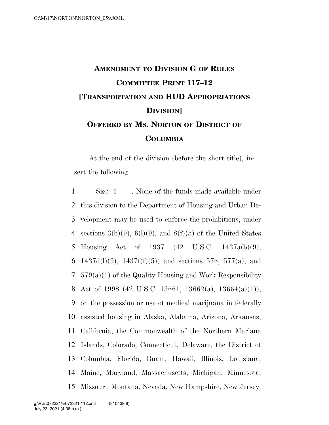## **AMENDMENT TO DIVISION G OF RULES COMMITTEE PRINT 117–12 [TRANSPORTATION AND HUD APPROPRIATIONS DIVISION] OFFERED BY MS. NORTON OF DISTRICT OF COLUMBIA**

At the end of the division (before the short title), insert the following:

1 SEC. 4 None of the funds made available under this division to the Department of Housing and Urban De- velopment may be used to enforce the prohibitions, under 4 sections  $3(b)(9)$ ,  $6(l)(9)$ , and  $8(f)(5)$  of the United States Housing Act of 1937 (42 U.S.C. 1437a(b)(9), 6 1437d(l)(9), 1437f(f)(5)) and sections 576, 577(a), and 579(a)(1) of the Quality Housing and Work Responsibility 8 Act of 1998 (42 U.S.C. 13661, 13662(a), 13664(a)(1)), on the possession or use of medical marijuana in federally assisted housing in Alaska, Alabama, Arizona, Arkansas, California, the Commonwealth of the Northern Mariana Islands, Colorado, Connecticut, Delaware, the District of Columbia, Florida, Guam, Hawaii, Illinois, Louisiana, Maine, Maryland, Massachusetts, Michigan, Minnesota, Missouri, Montana, Nevada, New Hampshire, New Jersey,